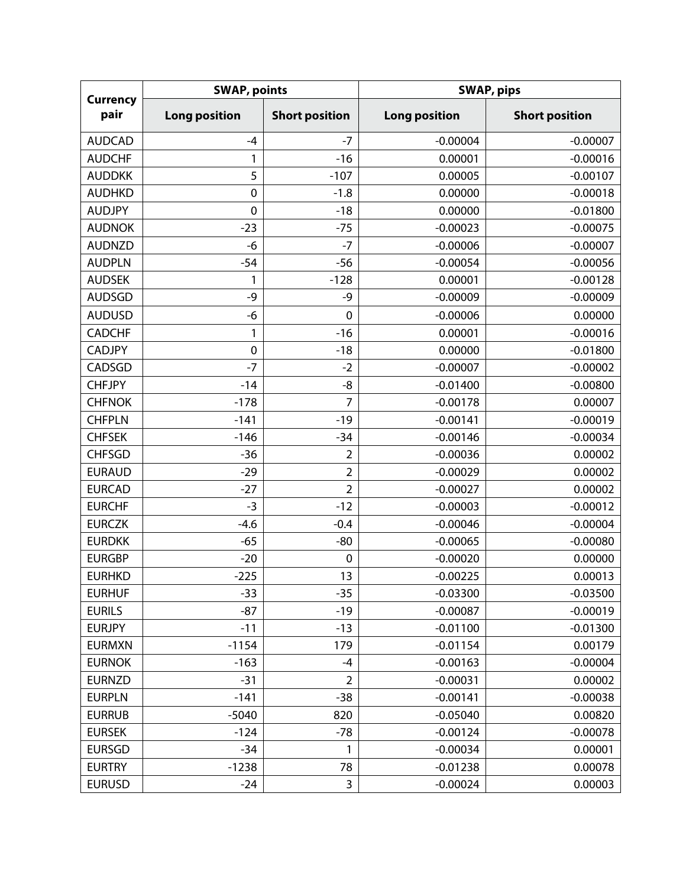| <b>Currency</b><br>pair | <b>SWAP, points</b>  |                       | <b>SWAP, pips</b>    |                       |  |
|-------------------------|----------------------|-----------------------|----------------------|-----------------------|--|
|                         | <b>Long position</b> | <b>Short position</b> | <b>Long position</b> | <b>Short position</b> |  |
| <b>AUDCAD</b>           | $-4$                 | $-7$                  | $-0.00004$           | $-0.00007$            |  |
| <b>AUDCHF</b>           | 1                    | $-16$                 | 0.00001              | $-0.00016$            |  |
| <b>AUDDKK</b>           | 5                    | $-107$                | 0.00005              | $-0.00107$            |  |
| <b>AUDHKD</b>           | $\mathbf 0$          | $-1.8$                | 0.00000              | $-0.00018$            |  |
| <b>AUDJPY</b>           | $\mathbf 0$          | $-18$                 | 0.00000              | $-0.01800$            |  |
| <b>AUDNOK</b>           | $-23$                | $-75$                 | $-0.00023$           | $-0.00075$            |  |
| <b>AUDNZD</b>           | $-6$                 | $-7$                  | $-0.00006$           | $-0.00007$            |  |
| <b>AUDPLN</b>           | $-54$                | $-56$                 | $-0.00054$           | $-0.00056$            |  |
| <b>AUDSEK</b>           | 1                    | $-128$                | 0.00001              | $-0.00128$            |  |
| <b>AUDSGD</b>           | -9                   | -9                    | $-0.00009$           | $-0.00009$            |  |
| <b>AUDUSD</b>           | -6                   | $\mathbf 0$           | $-0.00006$           | 0.00000               |  |
| <b>CADCHF</b>           | 1                    | $-16$                 | 0.00001              | $-0.00016$            |  |
| <b>CADJPY</b>           | $\pmb{0}$            | $-18$                 | 0.00000              | $-0.01800$            |  |
| CADSGD                  | $-7$                 | $-2$                  | $-0.00007$           | $-0.00002$            |  |
| <b>CHFJPY</b>           | $-14$                | -8                    | $-0.01400$           | $-0.00800$            |  |
| <b>CHFNOK</b>           | $-178$               | $\overline{7}$        | $-0.00178$           | 0.00007               |  |
| <b>CHFPLN</b>           | $-141$               | $-19$                 | $-0.00141$           | $-0.00019$            |  |
| <b>CHFSEK</b>           | $-146$               | $-34$                 | $-0.00146$           | $-0.00034$            |  |
| <b>CHFSGD</b>           | $-36$                | $\overline{2}$        | $-0.00036$           | 0.00002               |  |
| <b>EURAUD</b>           | $-29$                | $\overline{2}$        | $-0.00029$           | 0.00002               |  |
| <b>EURCAD</b>           | $-27$                | $\overline{2}$        | $-0.00027$           | 0.00002               |  |
| <b>EURCHF</b>           | $-3$                 | $-12$                 | $-0.00003$           | $-0.00012$            |  |
| <b>EURCZK</b>           | $-4.6$               | $-0.4$                | $-0.00046$           | $-0.00004$            |  |
| <b>EURDKK</b>           | $-65$                | $-80$                 | $-0.00065$           | $-0.00080$            |  |
| <b>EURGBP</b>           | $-20$                | $\mathbf 0$           | $-0.00020$           | 0.00000               |  |
| <b>EURHKD</b>           | $-225$               | 13                    | $-0.00225$           | 0.00013               |  |
| <b>EURHUF</b>           | $-33$                | $-35$                 | $-0.03300$           | $-0.03500$            |  |
| <b>EURILS</b>           | $-87$                | $-19$                 | $-0.00087$           | $-0.00019$            |  |
| <b>EURJPY</b>           | $-11$                | $-13$                 | $-0.01100$           | $-0.01300$            |  |
| <b>EURMXN</b>           | $-1154$              | 179                   | $-0.01154$           | 0.00179               |  |
| <b>EURNOK</b>           | $-163$               | $-4$                  | $-0.00163$           | $-0.00004$            |  |
| <b>EURNZD</b>           | $-31$                | $\overline{2}$        | $-0.00031$           | 0.00002               |  |
| <b>EURPLN</b>           | $-141$               | $-38$                 | $-0.00141$           | $-0.00038$            |  |
| <b>EURRUB</b>           | $-5040$              | 820                   | $-0.05040$           | 0.00820               |  |
| <b>EURSEK</b>           | $-124$               | $-78$                 | $-0.00124$           | $-0.00078$            |  |
| <b>EURSGD</b>           | $-34$                | 1                     | $-0.00034$           | 0.00001               |  |
| <b>EURTRY</b>           | $-1238$              | 78                    | $-0.01238$           | 0.00078               |  |
| <b>EURUSD</b>           | $-24$                | 3                     | $-0.00024$           | 0.00003               |  |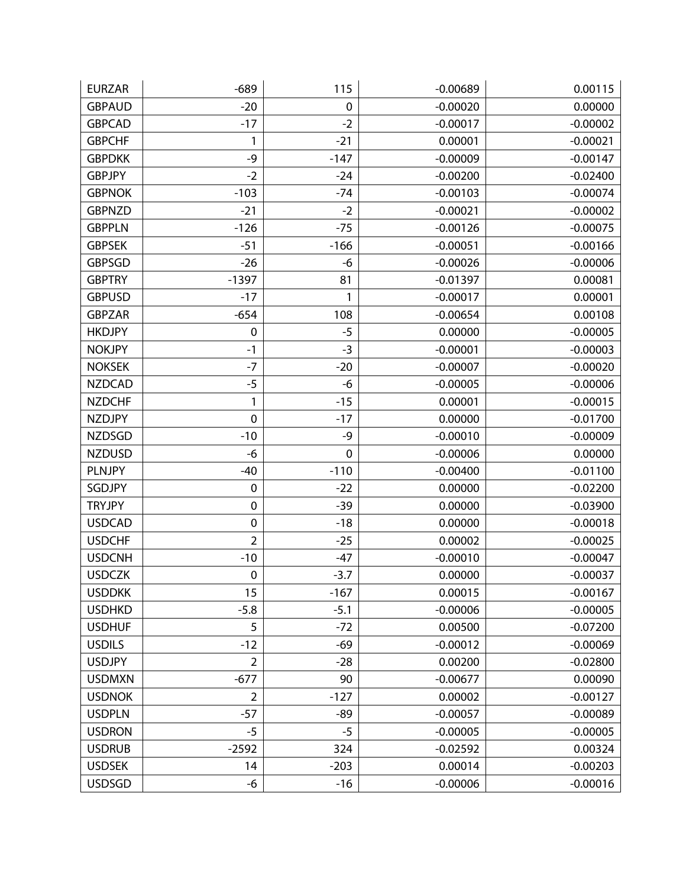| <b>EURZAR</b> | $-689$         | 115         | $-0.00689$ | 0.00115    |
|---------------|----------------|-------------|------------|------------|
| <b>GBPAUD</b> | $-20$          | $\mathbf 0$ | $-0.00020$ | 0.00000    |
| <b>GBPCAD</b> | $-17$          | $-2$        | $-0.00017$ | $-0.00002$ |
| <b>GBPCHF</b> | 1              | $-21$       | 0.00001    | $-0.00021$ |
| <b>GBPDKK</b> | $-9$           | $-147$      | $-0.00009$ | $-0.00147$ |
| <b>GBPJPY</b> | $-2$           | $-24$       | $-0.00200$ | $-0.02400$ |
| <b>GBPNOK</b> | $-103$         | $-74$       | $-0.00103$ | $-0.00074$ |
| <b>GBPNZD</b> | $-21$          | $-2$        | $-0.00021$ | $-0.00002$ |
| <b>GBPPLN</b> | $-126$         | $-75$       | $-0.00126$ | $-0.00075$ |
| <b>GBPSEK</b> | $-51$          | $-166$      | $-0.00051$ | $-0.00166$ |
| <b>GBPSGD</b> | $-26$          | -6          | $-0.00026$ | $-0.00006$ |
| <b>GBPTRY</b> | $-1397$        | 81          | $-0.01397$ | 0.00081    |
| <b>GBPUSD</b> | $-17$          | 1           | $-0.00017$ | 0.00001    |
| <b>GBPZAR</b> | $-654$         | 108         | $-0.00654$ | 0.00108    |
| <b>HKDJPY</b> | $\mathbf 0$    | $-5$        | 0.00000    | $-0.00005$ |
| <b>NOKJPY</b> | $-1$           | $-3$        | $-0.00001$ | $-0.00003$ |
| <b>NOKSEK</b> | $-7$           | $-20$       | $-0.00007$ | $-0.00020$ |
| <b>NZDCAD</b> | $-5$           | -6          | $-0.00005$ | $-0.00006$ |
| <b>NZDCHF</b> | 1              | $-15$       | 0.00001    | $-0.00015$ |
| <b>NZDJPY</b> | $\mathbf 0$    | $-17$       | 0.00000    | $-0.01700$ |
| <b>NZDSGD</b> | $-10$          | -9          | $-0.00010$ | $-0.00009$ |
| <b>NZDUSD</b> | -6             | 0           | $-0.00006$ | 0.00000    |
| <b>PLNJPY</b> | $-40$          | $-110$      | $-0.00400$ | $-0.01100$ |
| SGDJPY        | 0              | $-22$       | 0.00000    | $-0.02200$ |
| <b>TRYJPY</b> | $\pmb{0}$      | $-39$       | 0.00000    | $-0.03900$ |
| <b>USDCAD</b> | $\pmb{0}$      | $-18$       | 0.00000    | $-0.00018$ |
| <b>USDCHF</b> | $\overline{2}$ | $-25$       | 0.00002    | $-0.00025$ |
| <b>USDCNH</b> | $-10$          | $-47$       | $-0.00010$ | $-0.00047$ |
| <b>USDCZK</b> | $\pmb{0}$      | $-3.7$      | 0.00000    | $-0.00037$ |
| <b>USDDKK</b> | 15             | $-167$      | 0.00015    | $-0.00167$ |
| <b>USDHKD</b> | $-5.8$         | $-5.1$      | $-0.00006$ | $-0.00005$ |
| <b>USDHUF</b> | 5              | $-72$       | 0.00500    | $-0.07200$ |
| <b>USDILS</b> | $-12$          | $-69$       | $-0.00012$ | $-0.00069$ |
| <b>USDJPY</b> | $\overline{2}$ | $-28$       | 0.00200    | $-0.02800$ |
| <b>USDMXN</b> | $-677$         | 90          | $-0.00677$ | 0.00090    |
| <b>USDNOK</b> | $\overline{2}$ | $-127$      | 0.00002    | $-0.00127$ |
| <b>USDPLN</b> | $-57$          | $-89$       | $-0.00057$ | $-0.00089$ |
| <b>USDRON</b> | $-5$           | $-5$        | $-0.00005$ | $-0.00005$ |
| <b>USDRUB</b> | $-2592$        | 324         | $-0.02592$ | 0.00324    |
| <b>USDSEK</b> | 14             | $-203$      | 0.00014    | $-0.00203$ |
| <b>USDSGD</b> | -6             | $-16$       | $-0.00006$ | $-0.00016$ |